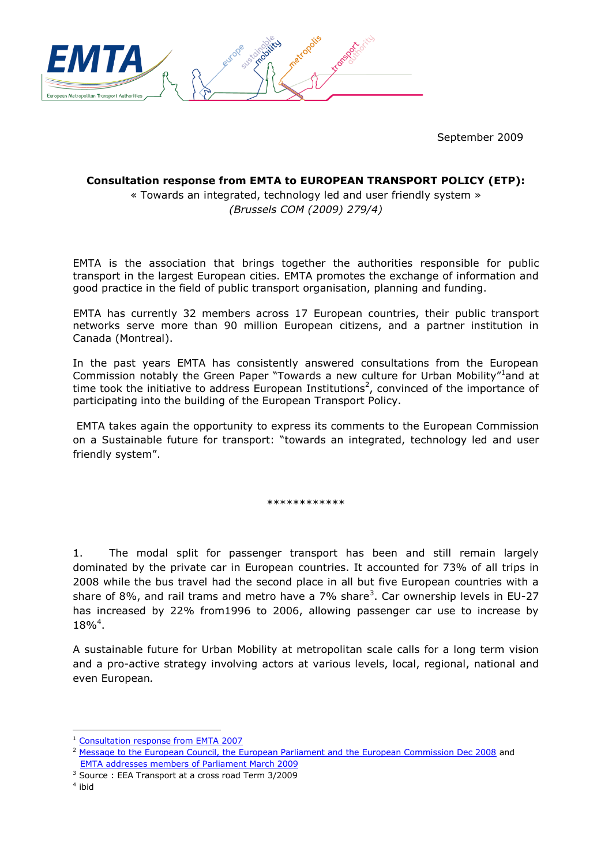

September 2009

## **Consultation response from EMTA to EUROPEAN TRANSPORT POLICY (ETP):**

« Towards an integrated, technology led and user friendly system » *(Brussels COM (2009) 279/4)*

EMTA is the association that brings together the authorities responsible for public transport in the largest European cities. EMTA promotes the exchange of information and good practice in the field of public transport organisation, planning and funding.

EMTA has currently 32 members across 17 European countries, their public transport networks serve more than 90 million European citizens, and a partner institution in Canada (Montreal).

In the past years EMTA has consistently answered consultations from the European Commission notably the Green Paper "Towards a new culture for Urban Mobility"<sup>1</sup>and at time took the initiative to address European Institutions<sup>2</sup>, convinced of the importance of participating into the building of the European Transport Policy.

EMTA takes again the opportunity to express its comments to the European Commission on a Sustainable future for transport: "towards an integrated, technology led and user friendly system".

\*\*\*\*\*\*\*\*\*\*\*\*

1. The modal split for passenger transport has been and still remain largely dominated by the private car in European countries. It accounted for 73% of all trips in 2008 while the bus travel had the second place in all but five European countries with a share of 8%, and rail trams and metro have a 7% share<sup>3</sup>. Car ownership levels in EU-27 has increased by 22% from1996 to 2006, allowing passenger car use to increase by 18%<sup>4</sup> .

A sustainable future for Urban Mobility at metropolitan scale calls for a long term vision and a pro-active strategy involving actors at various levels, local, regional, national and even European*.*

<sup>1</sup> [Consultation response from EMTA 2007](http://www.emta.com/IMG/pdf/EMTA_2nd_Green_Paper_final.pdf)

<sup>&</sup>lt;sup>2</sup> [Message to the European Council, the European Parliament and the European Commission Dec 2008](http://www.emta.com/IMG/pdf/08-080_message_to_EC.pdf) and [EMTA addresses members of Parliament March 2009](http://www.emta.com/IMG/pdf/Manifesto.pdf)

<sup>3</sup> Source : EEA Transport at a cross road Term 3/2009

<sup>4</sup> ibid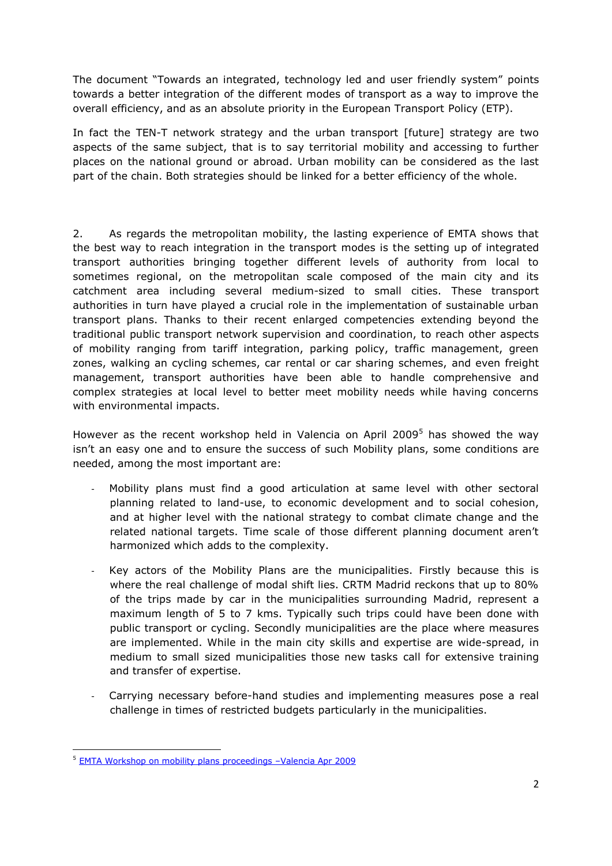The document "Towards an integrated, technology led and user friendly system" points towards a better integration of the different modes of transport as a way to improve the overall efficiency, and as an absolute priority in the European Transport Policy (ETP).

In fact the TEN-T network strategy and the urban transport [future] strategy are two aspects of the same subject, that is to say territorial mobility and accessing to further places on the national ground or abroad. Urban mobility can be considered as the last part of the chain. Both strategies should be linked for a better efficiency of the whole.

2. As regards the metropolitan mobility, the lasting experience of EMTA shows that the best way to reach integration in the transport modes is the setting up of integrated transport authorities bringing together different levels of authority from local to sometimes regional, on the metropolitan scale composed of the main city and its catchment area including several medium-sized to small cities. These transport authorities in turn have played a crucial role in the implementation of sustainable urban transport plans. Thanks to their recent enlarged competencies extending beyond the traditional public transport network supervision and coordination, to reach other aspects of mobility ranging from tariff integration, parking policy, traffic management, green zones, walking an cycling schemes, car rental or car sharing schemes, and even freight management, transport authorities have been able to handle comprehensive and complex strategies at local level to better meet mobility needs while having concerns with environmental impacts.

However as the recent workshop held in Valencia on April 2009<sup>5</sup> has showed the wav isn't an easy one and to ensure the success of such Mobility plans, some conditions are needed, among the most important are:

- Mobility plans must find a good articulation at same level with other sectoral planning related to land-use, to economic development and to social cohesion, and at higher level with the national strategy to combat climate change and the related national targets. Time scale of those different planning document aren't harmonized which adds to the complexity.
- Key actors of the Mobility Plans are the municipalities. Firstly because this is where the real challenge of modal shift lies. CRTM Madrid reckons that up to 80% of the trips made by car in the municipalities surrounding Madrid, represent a maximum length of 5 to 7 kms. Typically such trips could have been done with public transport or cycling. Secondly municipalities are the place where measures are implemented. While in the main city skills and expertise are wide-spread, in medium to small sized municipalities those new tasks call for extensive training and transfer of expertise.
- Carrying necessary before-hand studies and implementing measures pose a real challenge in times of restricted budgets particularly in the municipalities.

<sup>5</sup> [EMTA Workshop on mobility plans proceedings](http://www.emta.com/IMG/pdf/Transcript_Workshop_Valencia.pdf) –Valencia Apr 2009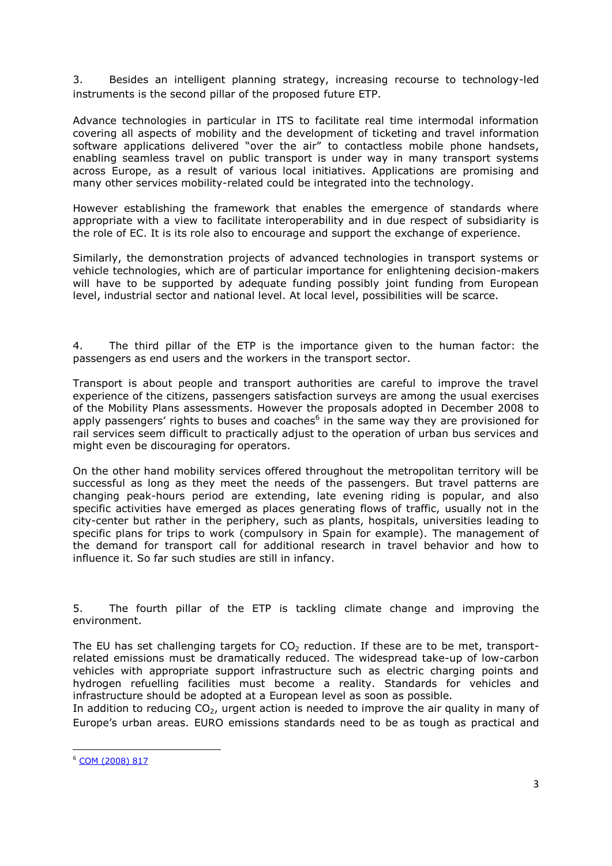3. Besides an intelligent planning strategy, increasing recourse to technology-led instruments is the second pillar of the proposed future ETP.

Advance technologies in particular in ITS to facilitate real time intermodal information covering all aspects of mobility and the development of ticketing and travel information software applications delivered "over the air" to contactless mobile phone handsets, enabling seamless travel on public transport is under way in many transport systems across Europe, as a result of various local initiatives. Applications are promising and many other services mobility-related could be integrated into the technology.

However establishing the framework that enables the emergence of standards where appropriate with a view to facilitate interoperability and in due respect of subsidiarity is the role of EC. It is its role also to encourage and support the exchange of experience.

Similarly, the demonstration projects of advanced technologies in transport systems or vehicle technologies, which are of particular importance for enlightening decision-makers will have to be supported by adequate funding possibly joint funding from European level, industrial sector and national level. At local level, possibilities will be scarce.

4. The third pillar of the ETP is the importance given to the human factor: the passengers as end users and the workers in the transport sector.

Transport is about people and transport authorities are careful to improve the travel experience of the citizens, passengers satisfaction surveys are among the usual exercises of the Mobility Plans assessments. However the proposals adopted in December 2008 to apply passengers' rights to buses and coaches<sup>6</sup> in the same way they are provisioned for rail services seem difficult to practically adjust to the operation of urban bus services and might even be discouraging for operators.

On the other hand mobility services offered throughout the metropolitan territory will be successful as long as they meet the needs of the passengers. But travel patterns are changing peak-hours period are extending, late evening riding is popular, and also specific activities have emerged as places generating flows of traffic, usually not in the city-center but rather in the periphery, such as plants, hospitals, universities leading to specific plans for trips to work (compulsory in Spain for example). The management of the demand for transport call for additional research in travel behavior and how to influence it. So far such studies are still in infancy.

5. The fourth pillar of the ETP is tackling climate change and improving the environment.

The EU has set challenging targets for  $CO<sub>2</sub>$  reduction. If these are to be met, transportrelated emissions must be dramatically reduced. The widespread take-up of low-carbon vehicles with appropriate support infrastructure such as electric charging points and hydrogen refuelling facilities must become a reality. Standards for vehicles and infrastructure should be adopted at a European level as soon as possible.

In addition to reducing  $CO<sub>2</sub>$ , urgent action is needed to improve the air quality in many of Europe's urban areas. EURO emissions standards need to be as tough as practical and

<sup>6</sup> [COM \(2008\) 817](http://eur-lex.europa.eu/LexUriServ/LexUriServ.do?uri=COM:2008:0817:FIN:EN:PDF)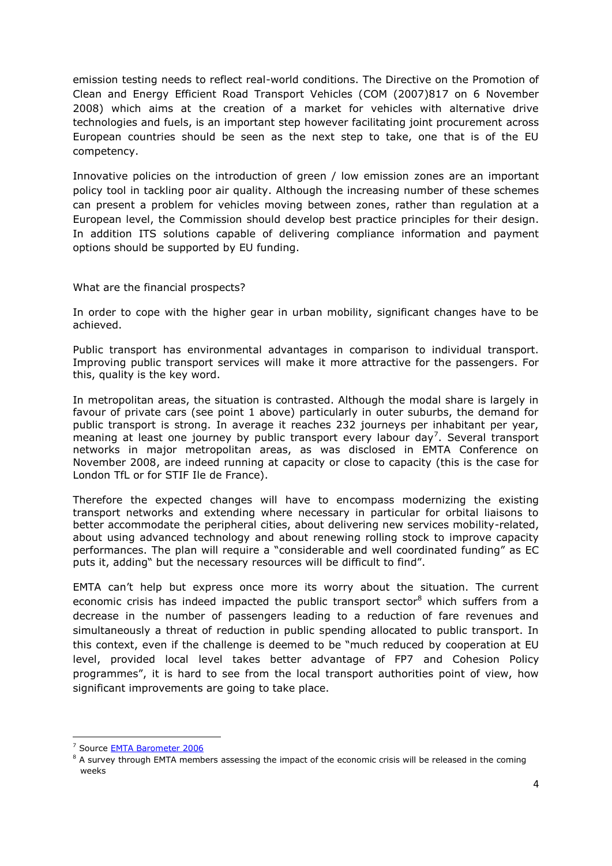emission testing needs to reflect real-world conditions. The Directive on the Promotion of Clean and Energy Efficient Road Transport Vehicles (COM (2007)817 on 6 November 2008) which aims at the creation of a market for vehicles with alternative drive technologies and fuels, is an important step however facilitating joint procurement across European countries should be seen as the next step to take, one that is of the EU competency.

Innovative policies on the introduction of green / low emission zones are an important policy tool in tackling poor air quality. Although the increasing number of these schemes can present a problem for vehicles moving between zones, rather than regulation at a European level, the Commission should develop best practice principles for their design. In addition ITS solutions capable of delivering compliance information and payment options should be supported by EU funding.

What are the financial prospects?

In order to cope with the higher gear in urban mobility, significant changes have to be achieved.

Public transport has environmental advantages in comparison to individual transport. Improving public transport services will make it more attractive for the passengers. For this, quality is the key word.

In metropolitan areas, the situation is contrasted. Although the modal share is largely in favour of private cars (see point 1 above) particularly in outer suburbs, the demand for public transport is strong. In average it reaches 232 journeys per inhabitant per year, meaning at least one journey by public transport every labour day<sup>7</sup>. Several transport networks in major metropolitan areas, as was disclosed in EMTA Conference on November 2008, are indeed running at capacity or close to capacity (this is the case for London TfL or for STIF Ile de France).

Therefore the expected changes will have to encompass modernizing the existing transport networks and extending where necessary in particular for orbital liaisons to better accommodate the peripheral cities, about delivering new services mobility-related, about using advanced technology and about renewing rolling stock to improve capacity performances. The plan will require a "considerable and well coordinated funding" as EC puts it, adding" but the necessary resources will be difficult to find".

EMTA can't help but express once more its worry about the situation. The current economic crisis has indeed impacted the public transport sector<sup>8</sup> which suffers from a decrease in the number of passengers leading to a reduction of fare revenues and simultaneously a threat of reduction in public spending allocated to public transport. In this context, even if the challenge is deemed to be "much reduced by cooperation at EU level, provided local level takes better advantage of FP7 and Cohesion Policy programmes", it is hard to see from the local transport authorities point of view, how significant improvements are going to take place.

<sup>7</sup> Source [EMTA Barometer 2006](http://www.emta.com/IMG/pdf/Barometer_2006_full_Report.pdf)

 $8$  A survey through EMTA members assessing the impact of the economic crisis will be released in the coming weeks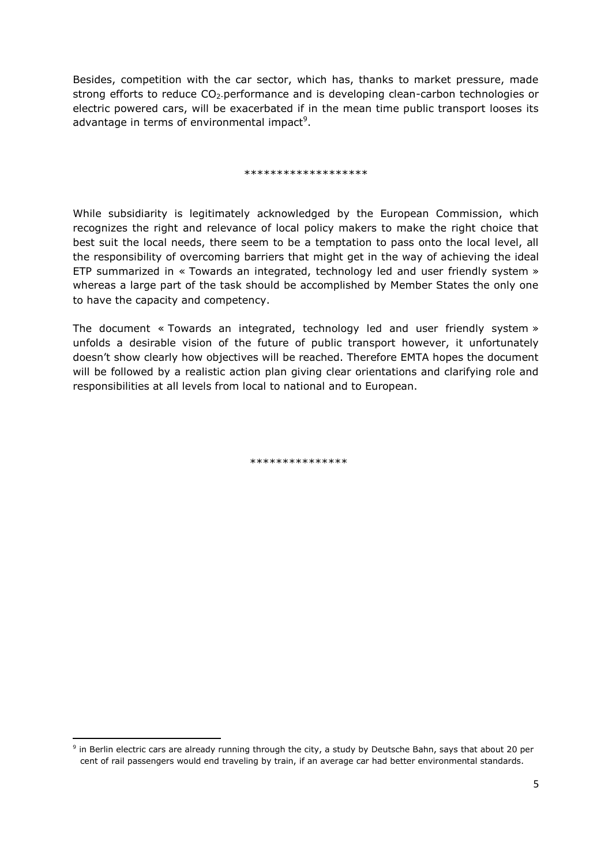Besides, competition with the car sector, which has, thanks to market pressure, made strong efforts to reduce  $CO<sub>2</sub>$ -performance and is developing clean-carbon technologies or electric powered cars, will be exacerbated if in the mean time public transport looses its advantage in terms of environmental impact<sup>9</sup>.

## \*\*\*\*\*\*\*\*\*\*\*\*\*\*\*\*\*\*\*

While subsidiarity is legitimately acknowledged by the European Commission, which recognizes the right and relevance of local policy makers to make the right choice that best suit the local needs, there seem to be a temptation to pass onto the local level, all the responsibility of overcoming barriers that might get in the way of achieving the ideal ETP summarized in « Towards an integrated, technology led and user friendly system » whereas a large part of the task should be accomplished by Member States the only one to have the capacity and competency.

The document « Towards an integrated, technology led and user friendly system » unfolds a desirable vision of the future of public transport however, it unfortunately doesn't show clearly how objectives will be reached. Therefore EMTA hopes the document will be followed by a realistic action plan giving clear orientations and clarifying role and responsibilities at all levels from local to national and to European.

\*\*\*\*\*\*\*\*\*\*\*\*\*\*

<sup>9</sup> in Berlin electric cars are already running through the city, a study by Deutsche Bahn, says that about 20 per cent of rail passengers would end traveling by train, if an average car had better environmental standards.